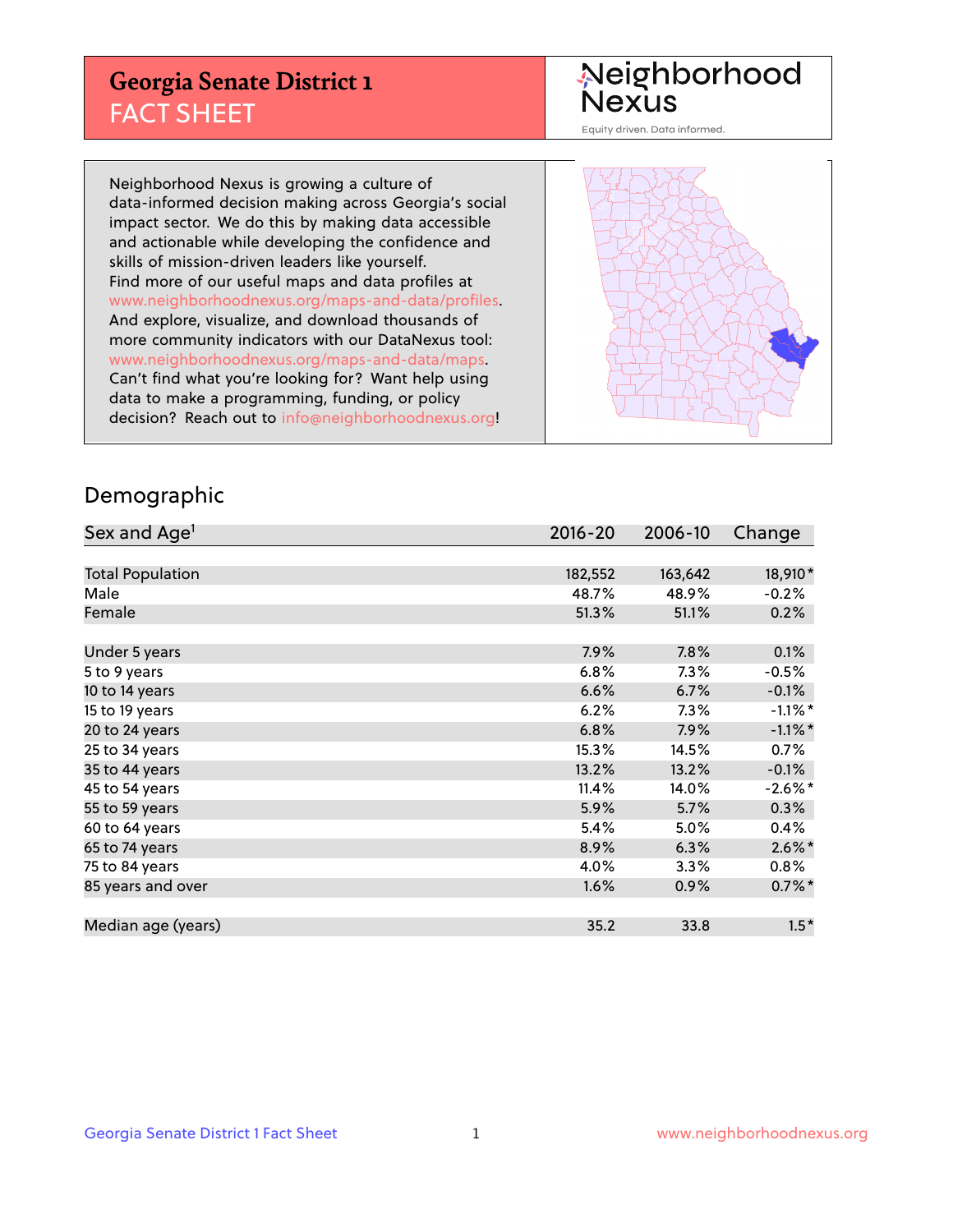## **Georgia Senate District 1** FACT SHEET

# Neighborhood<br>Nexus

Equity driven. Data informed.

Neighborhood Nexus is growing a culture of data-informed decision making across Georgia's social impact sector. We do this by making data accessible and actionable while developing the confidence and skills of mission-driven leaders like yourself. Find more of our useful maps and data profiles at www.neighborhoodnexus.org/maps-and-data/profiles. And explore, visualize, and download thousands of more community indicators with our DataNexus tool: www.neighborhoodnexus.org/maps-and-data/maps. Can't find what you're looking for? Want help using data to make a programming, funding, or policy decision? Reach out to [info@neighborhoodnexus.org!](mailto:info@neighborhoodnexus.org)



### Demographic

| Sex and Age <sup>1</sup> | $2016 - 20$ | 2006-10 | Change     |
|--------------------------|-------------|---------|------------|
|                          |             |         |            |
| <b>Total Population</b>  | 182,552     | 163,642 | 18,910*    |
| Male                     | 48.7%       | 48.9%   | $-0.2%$    |
| Female                   | 51.3%       | 51.1%   | 0.2%       |
|                          |             |         |            |
| Under 5 years            | 7.9%        | 7.8%    | 0.1%       |
| 5 to 9 years             | 6.8%        | 7.3%    | $-0.5\%$   |
| 10 to 14 years           | 6.6%        | 6.7%    | $-0.1%$    |
| 15 to 19 years           | 6.2%        | 7.3%    | $-1.1\%$ * |
| 20 to 24 years           | 6.8%        | 7.9%    | $-1.1\%$ * |
| 25 to 34 years           | 15.3%       | 14.5%   | $0.7\%$    |
| 35 to 44 years           | 13.2%       | 13.2%   | $-0.1%$    |
| 45 to 54 years           | 11.4%       | 14.0%   | $-2.6\%$ * |
| 55 to 59 years           | 5.9%        | 5.7%    | 0.3%       |
| 60 to 64 years           | 5.4%        | 5.0%    | $0.4\%$    |
| 65 to 74 years           | 8.9%        | 6.3%    | $2.6\%$ *  |
| 75 to 84 years           | 4.0%        | 3.3%    | $0.8\%$    |
| 85 years and over        | 1.6%        | 0.9%    | $0.7\%$ *  |
|                          |             |         |            |
| Median age (years)       | 35.2        | 33.8    | $1.5*$     |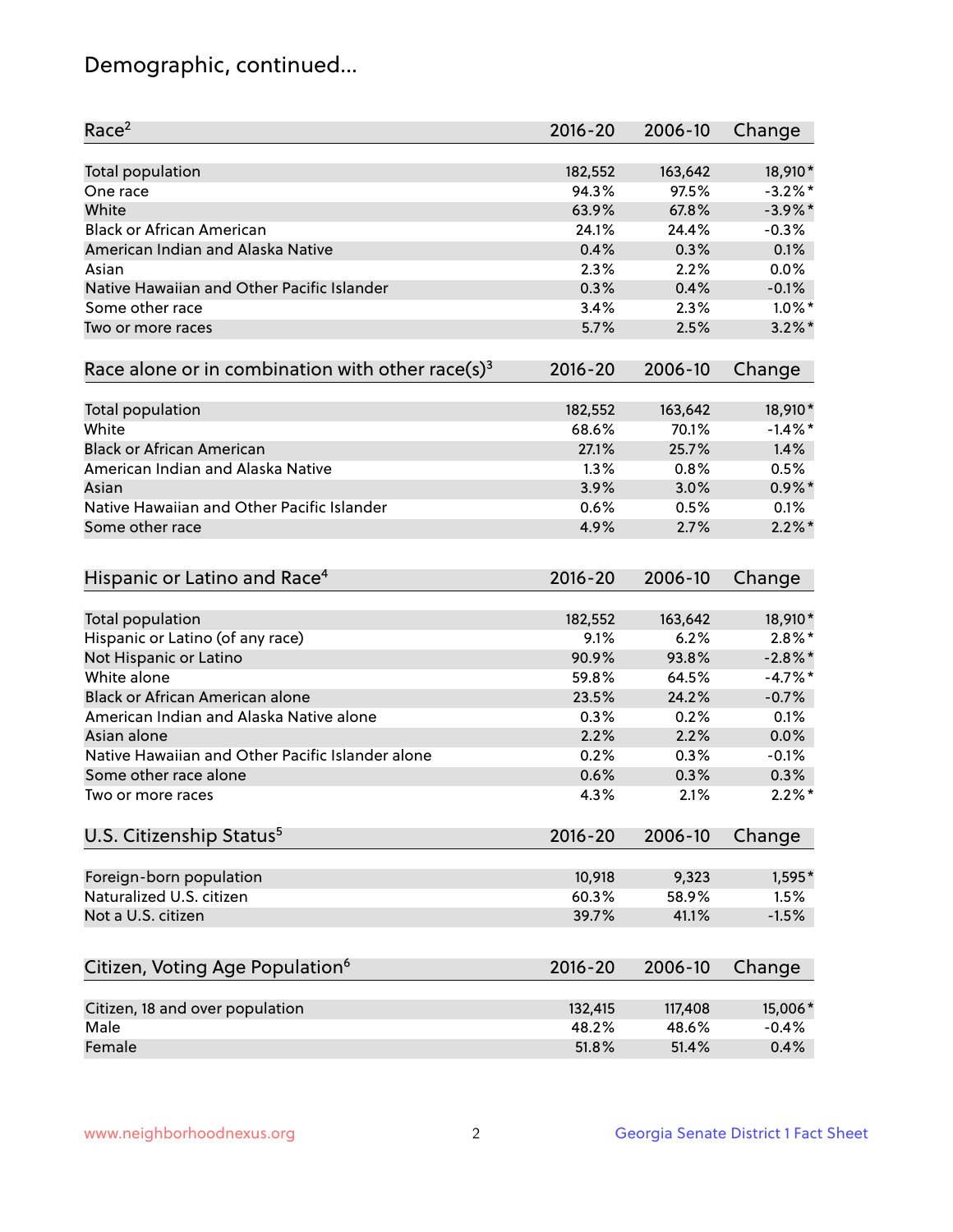## Demographic, continued...

| Race <sup>2</sup>                                            | $2016 - 20$ | 2006-10 | Change     |
|--------------------------------------------------------------|-------------|---------|------------|
| <b>Total population</b>                                      | 182,552     | 163,642 | 18,910*    |
| One race                                                     | 94.3%       | 97.5%   | $-3.2%$ *  |
| White                                                        | 63.9%       | 67.8%   | $-3.9\%$ * |
| <b>Black or African American</b>                             | 24.1%       | 24.4%   | $-0.3%$    |
| American Indian and Alaska Native                            | 0.4%        | 0.3%    | 0.1%       |
| Asian                                                        | 2.3%        | 2.2%    | 0.0%       |
| Native Hawaiian and Other Pacific Islander                   | 0.3%        | 0.4%    | $-0.1%$    |
| Some other race                                              | 3.4%        | 2.3%    | $1.0\%$ *  |
| Two or more races                                            | 5.7%        | 2.5%    | $3.2\%$ *  |
| Race alone or in combination with other race(s) <sup>3</sup> | $2016 - 20$ | 2006-10 | Change     |
| Total population                                             | 182,552     | 163,642 | 18,910*    |
| White                                                        | 68.6%       | 70.1%   | $-1.4\%$ * |
| <b>Black or African American</b>                             | 27.1%       | 25.7%   | 1.4%       |
| American Indian and Alaska Native                            | 1.3%        | 0.8%    | 0.5%       |
| Asian                                                        | 3.9%        | 3.0%    | $0.9\%$ *  |
| Native Hawaiian and Other Pacific Islander                   | 0.6%        | 0.5%    | 0.1%       |
| Some other race                                              | 4.9%        | 2.7%    | $2.2\%$ *  |
| Hispanic or Latino and Race <sup>4</sup>                     | $2016 - 20$ | 2006-10 | Change     |
| <b>Total population</b>                                      | 182,552     | 163,642 | 18,910*    |
| Hispanic or Latino (of any race)                             | 9.1%        | 6.2%    | $2.8\%$ *  |
| Not Hispanic or Latino                                       | 90.9%       | 93.8%   | $-2.8\%$ * |
| White alone                                                  | 59.8%       | 64.5%   | $-4.7\%$ * |
| <b>Black or African American alone</b>                       | 23.5%       | 24.2%   | $-0.7%$    |
| American Indian and Alaska Native alone                      | 0.3%        | 0.2%    | 0.1%       |
| Asian alone                                                  | 2.2%        | 2.2%    | 0.0%       |
| Native Hawaiian and Other Pacific Islander alone             | 0.2%        | 0.3%    | $-0.1%$    |
| Some other race alone                                        | 0.6%        | 0.3%    | 0.3%       |
| Two or more races                                            | 4.3%        | 2.1%    | $2.2\%$ *  |
| U.S. Citizenship Status <sup>5</sup>                         | $2016 - 20$ | 2006-10 | Change     |
| Foreign-born population                                      | 10,918      | 9,323   | 1,595*     |
| Naturalized U.S. citizen                                     | 60.3%       | 58.9%   | 1.5%       |
| Not a U.S. citizen                                           | 39.7%       | 41.1%   | $-1.5%$    |
|                                                              |             |         |            |
| Citizen, Voting Age Population <sup>6</sup>                  | $2016 - 20$ | 2006-10 | Change     |
| Citizen, 18 and over population                              | 132,415     | 117,408 | 15,006*    |
| Male                                                         | 48.2%       | 48.6%   | $-0.4%$    |
| Female                                                       | 51.8%       | 51.4%   | 0.4%       |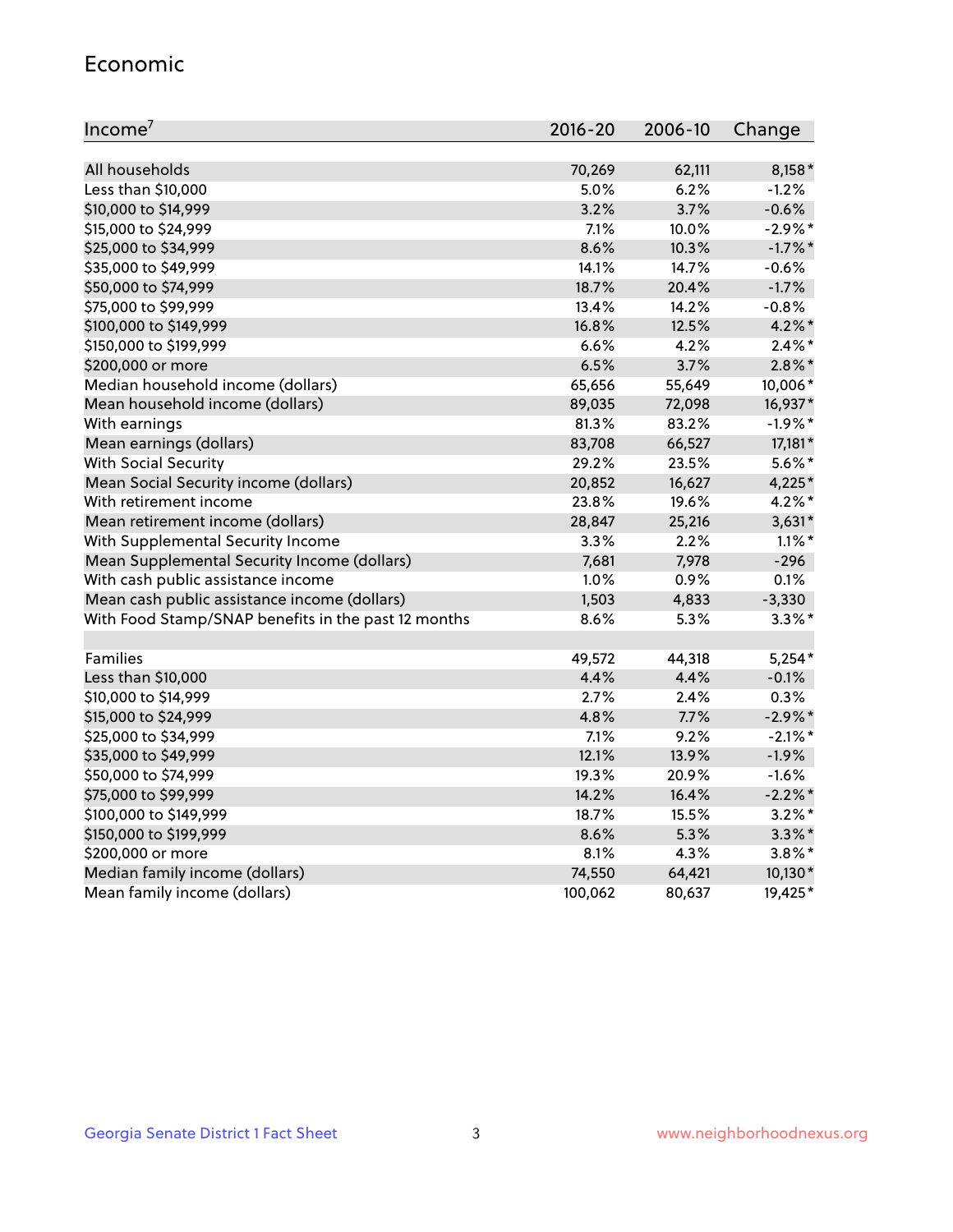#### Economic

| Income <sup>7</sup>                                 | $2016 - 20$ | 2006-10 | Change     |
|-----------------------------------------------------|-------------|---------|------------|
|                                                     |             |         |            |
| All households                                      | 70,269      | 62,111  | $8,158*$   |
| Less than \$10,000                                  | 5.0%        | 6.2%    | $-1.2%$    |
| \$10,000 to \$14,999                                | 3.2%        | 3.7%    | $-0.6%$    |
| \$15,000 to \$24,999                                | 7.1%        | 10.0%   | $-2.9%$ *  |
| \$25,000 to \$34,999                                | 8.6%        | 10.3%   | $-1.7%$ *  |
| \$35,000 to \$49,999                                | 14.1%       | 14.7%   | $-0.6%$    |
| \$50,000 to \$74,999                                | 18.7%       | 20.4%   | $-1.7%$    |
| \$75,000 to \$99,999                                | 13.4%       | 14.2%   | $-0.8%$    |
| \$100,000 to \$149,999                              | 16.8%       | 12.5%   | 4.2%*      |
| \$150,000 to \$199,999                              | 6.6%        | 4.2%    | $2.4\%$ *  |
| \$200,000 or more                                   | 6.5%        | 3.7%    | $2.8\%$ *  |
| Median household income (dollars)                   | 65,656      | 55,649  | 10,006*    |
| Mean household income (dollars)                     | 89,035      | 72,098  | 16,937*    |
| With earnings                                       | 81.3%       | 83.2%   | $-1.9%$ *  |
| Mean earnings (dollars)                             | 83,708      | 66,527  | 17,181*    |
| <b>With Social Security</b>                         | 29.2%       | 23.5%   | $5.6\%$ *  |
| Mean Social Security income (dollars)               | 20,852      | 16,627  | 4,225*     |
| With retirement income                              | 23.8%       | 19.6%   | $4.2\%$ *  |
| Mean retirement income (dollars)                    | 28,847      | 25,216  | $3,631*$   |
| With Supplemental Security Income                   | $3.3\%$     | 2.2%    | $1.1\%$ *  |
| Mean Supplemental Security Income (dollars)         | 7,681       | 7,978   | $-296$     |
| With cash public assistance income                  | 1.0%        | 0.9%    | 0.1%       |
| Mean cash public assistance income (dollars)        | 1,503       | 4,833   | $-3,330$   |
| With Food Stamp/SNAP benefits in the past 12 months | 8.6%        | 5.3%    | $3.3\%$ *  |
|                                                     |             |         |            |
| Families                                            | 49,572      | 44,318  | $5,254*$   |
| Less than \$10,000                                  | 4.4%        | 4.4%    | $-0.1%$    |
| \$10,000 to \$14,999                                | 2.7%        | 2.4%    | 0.3%       |
| \$15,000 to \$24,999                                | 4.8%        | 7.7%    | $-2.9\%$ * |
| \$25,000 to \$34,999                                | 7.1%        | 9.2%    | $-2.1\%$ * |
| \$35,000 to \$49,999                                | 12.1%       | 13.9%   | $-1.9%$    |
| \$50,000 to \$74,999                                | 19.3%       | 20.9%   | $-1.6%$    |
| \$75,000 to \$99,999                                | 14.2%       | 16.4%   | $-2.2%$    |
| \$100,000 to \$149,999                              | 18.7%       | 15.5%   | $3.2\%$ *  |
| \$150,000 to \$199,999                              | 8.6%        | 5.3%    | $3.3\%$ *  |
| \$200,000 or more                                   | 8.1%        | 4.3%    | $3.8\%$ *  |
| Median family income (dollars)                      | 74,550      | 64,421  | $10,130*$  |
| Mean family income (dollars)                        | 100,062     | 80,637  | 19,425*    |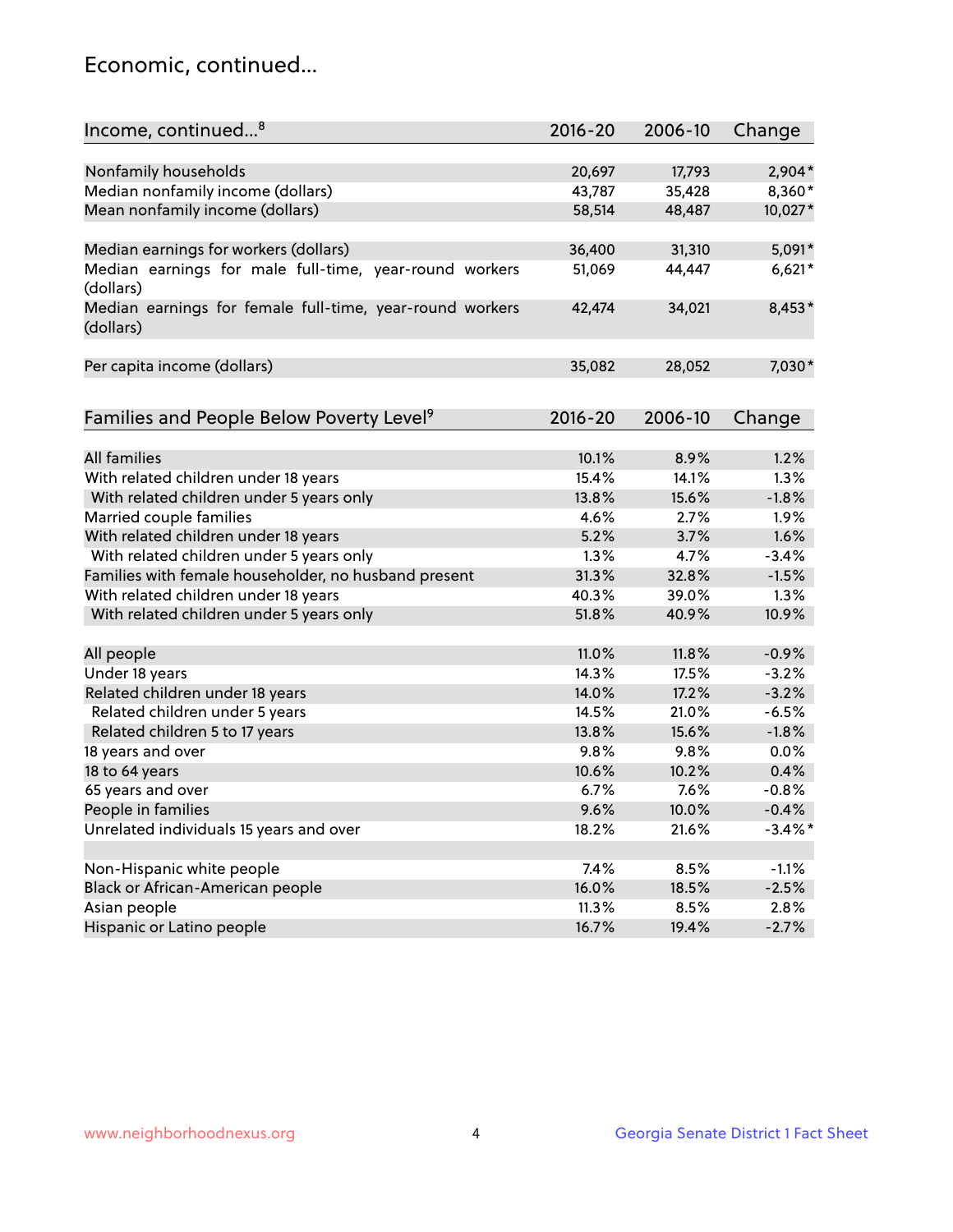## Economic, continued...

| Income, continued <sup>8</sup>                                        | $2016 - 20$ | 2006-10 | Change     |
|-----------------------------------------------------------------------|-------------|---------|------------|
|                                                                       |             |         |            |
| Nonfamily households                                                  | 20,697      | 17,793  | $2,904*$   |
| Median nonfamily income (dollars)                                     | 43,787      | 35,428  | 8,360*     |
| Mean nonfamily income (dollars)                                       | 58,514      | 48,487  | 10,027*    |
| Median earnings for workers (dollars)                                 | 36,400      | 31,310  | 5,091*     |
| Median earnings for male full-time, year-round workers                | 51,069      | 44,447  | $6,621*$   |
| (dollars)                                                             |             |         |            |
| Median earnings for female full-time, year-round workers<br>(dollars) | 42,474      | 34,021  | 8,453*     |
| Per capita income (dollars)                                           | 35,082      | 28,052  | 7,030*     |
|                                                                       |             |         |            |
| Families and People Below Poverty Level <sup>9</sup>                  | 2016-20     | 2006-10 | Change     |
|                                                                       |             |         |            |
| <b>All families</b>                                                   | 10.1%       | 8.9%    | 1.2%       |
| With related children under 18 years                                  | 15.4%       | 14.1%   | 1.3%       |
| With related children under 5 years only                              | 13.8%       | 15.6%   | $-1.8%$    |
| Married couple families                                               | 4.6%        | 2.7%    | 1.9%       |
| With related children under 18 years                                  | 5.2%        | 3.7%    | 1.6%       |
| With related children under 5 years only                              | 1.3%        | 4.7%    | $-3.4%$    |
| Families with female householder, no husband present                  | 31.3%       | 32.8%   | $-1.5%$    |
| With related children under 18 years                                  | 40.3%       | 39.0%   | 1.3%       |
| With related children under 5 years only                              | 51.8%       | 40.9%   | 10.9%      |
| All people                                                            | 11.0%       | 11.8%   | $-0.9%$    |
| Under 18 years                                                        | 14.3%       | 17.5%   | $-3.2%$    |
|                                                                       |             |         |            |
| Related children under 18 years                                       | 14.0%       | 17.2%   | $-3.2%$    |
| Related children under 5 years                                        | 14.5%       | 21.0%   | $-6.5%$    |
| Related children 5 to 17 years                                        | 13.8%       | 15.6%   | $-1.8%$    |
| 18 years and over                                                     | 9.8%        | 9.8%    | 0.0%       |
| 18 to 64 years                                                        | 10.6%       | 10.2%   | 0.4%       |
| 65 years and over                                                     | 6.7%        | 7.6%    | $-0.8%$    |
| People in families                                                    | 9.6%        | 10.0%   | $-0.4%$    |
| Unrelated individuals 15 years and over                               | 18.2%       | 21.6%   | $-3.4\%$ * |
| Non-Hispanic white people                                             | 7.4%        | 8.5%    | $-1.1%$    |
|                                                                       |             |         |            |
| Black or African-American people                                      | 16.0%       | 18.5%   | $-2.5%$    |
| Asian people                                                          | 11.3%       | 8.5%    | 2.8%       |
| Hispanic or Latino people                                             | 16.7%       | 19.4%   | $-2.7%$    |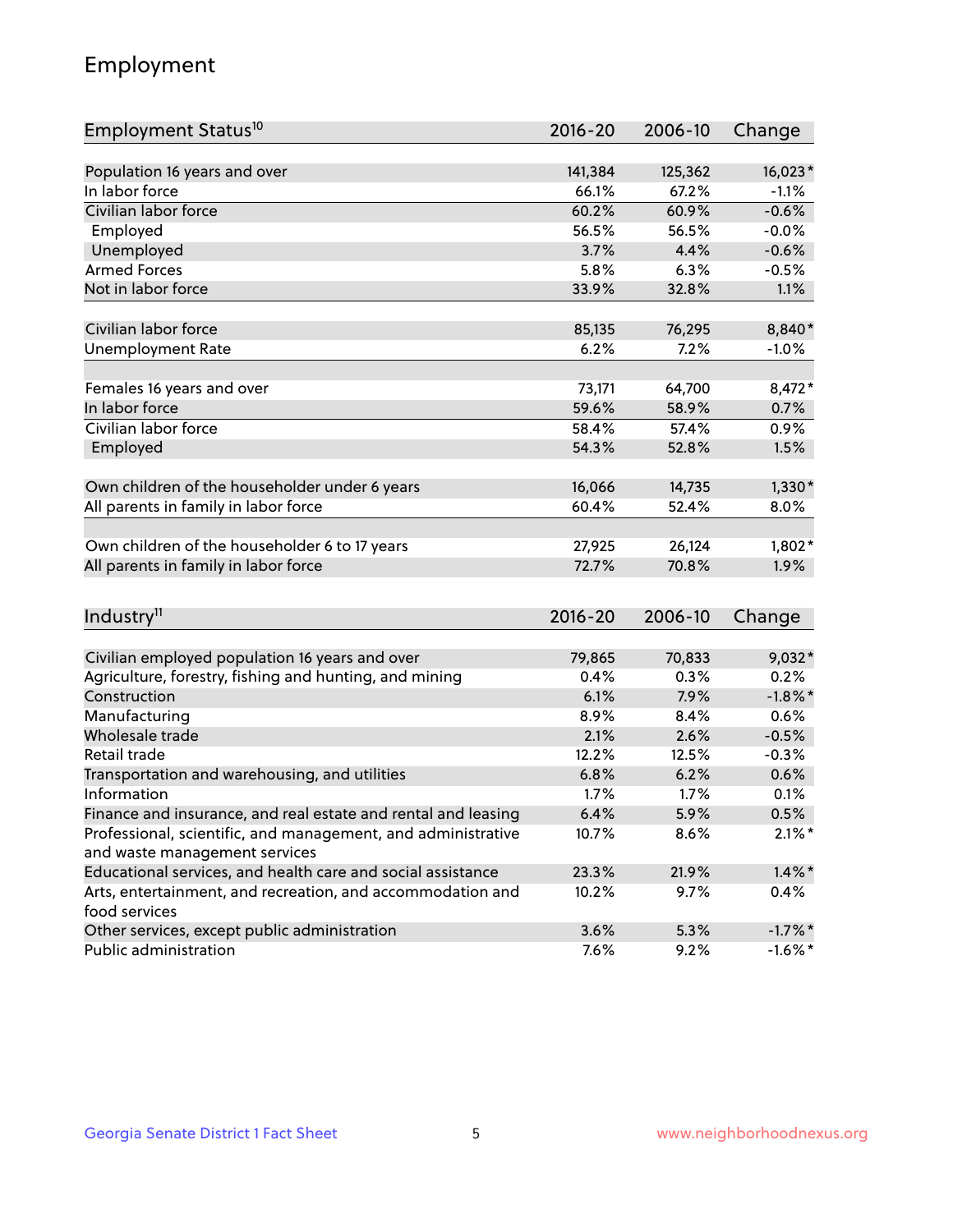## Employment

| Employment Status <sup>10</sup>                                             | $2016 - 20$ | 2006-10 | Change     |
|-----------------------------------------------------------------------------|-------------|---------|------------|
|                                                                             |             |         |            |
| Population 16 years and over                                                | 141,384     | 125,362 | 16,023*    |
| In labor force                                                              | 66.1%       | 67.2%   | $-1.1%$    |
| Civilian labor force                                                        | 60.2%       | 60.9%   | $-0.6%$    |
| Employed                                                                    | 56.5%       | 56.5%   | $-0.0%$    |
| Unemployed                                                                  | 3.7%        | 4.4%    | $-0.6%$    |
| <b>Armed Forces</b>                                                         | 5.8%        | 6.3%    | $-0.5%$    |
| Not in labor force                                                          | 33.9%       | 32.8%   | 1.1%       |
|                                                                             |             |         |            |
| Civilian labor force                                                        | 85,135      | 76,295  | 8,840*     |
| <b>Unemployment Rate</b>                                                    | 6.2%        | 7.2%    | $-1.0%$    |
| Females 16 years and over                                                   | 73,171      | 64,700  | $8,472*$   |
| In labor force                                                              | 59.6%       | 58.9%   | 0.7%       |
| Civilian labor force                                                        | 58.4%       | 57.4%   | 0.9%       |
| Employed                                                                    | 54.3%       | 52.8%   | 1.5%       |
|                                                                             |             |         |            |
| Own children of the householder under 6 years                               | 16,066      | 14,735  | $1,330*$   |
| All parents in family in labor force                                        | 60.4%       | 52.4%   | 8.0%       |
|                                                                             |             |         |            |
| Own children of the householder 6 to 17 years                               | 27,925      | 26,124  | $1,802*$   |
| All parents in family in labor force                                        | 72.7%       | 70.8%   | 1.9%       |
|                                                                             |             |         |            |
| Industry <sup>11</sup>                                                      | $2016 - 20$ | 2006-10 | Change     |
|                                                                             |             |         |            |
| Civilian employed population 16 years and over                              | 79,865      | 70,833  | 9,032*     |
| Agriculture, forestry, fishing and hunting, and mining                      | 0.4%        | 0.3%    | 0.2%       |
| Construction                                                                | 6.1%        | 7.9%    | $-1.8\%$ * |
| Manufacturing                                                               | 8.9%        | 8.4%    | 0.6%       |
| Wholesale trade                                                             | 2.1%        | 2.6%    | $-0.5%$    |
| Retail trade                                                                | 12.2%       | 12.5%   | $-0.3%$    |
| Transportation and warehousing, and utilities                               | 6.8%        | 6.2%    | 0.6%       |
| Information                                                                 | 1.7%        | 1.7%    | 0.1%       |
| Finance and insurance, and real estate and rental and leasing               | 6.4%        | 5.9%    | 0.5%       |
| Professional, scientific, and management, and administrative                | 10.7%       | 8.6%    | $2.1\%$ *  |
| and waste management services                                               |             |         |            |
| Educational services, and health care and social assistance                 | 23.3%       | 21.9%   | $1.4\%$ *  |
| Arts, entertainment, and recreation, and accommodation and<br>food services | 10.2%       | 9.7%    | 0.4%       |
| Other services, except public administration                                | 3.6%        | 5.3%    | $-1.7%$ *  |
| Public administration                                                       | 7.6%        | 9.2%    | $-1.6\%$ * |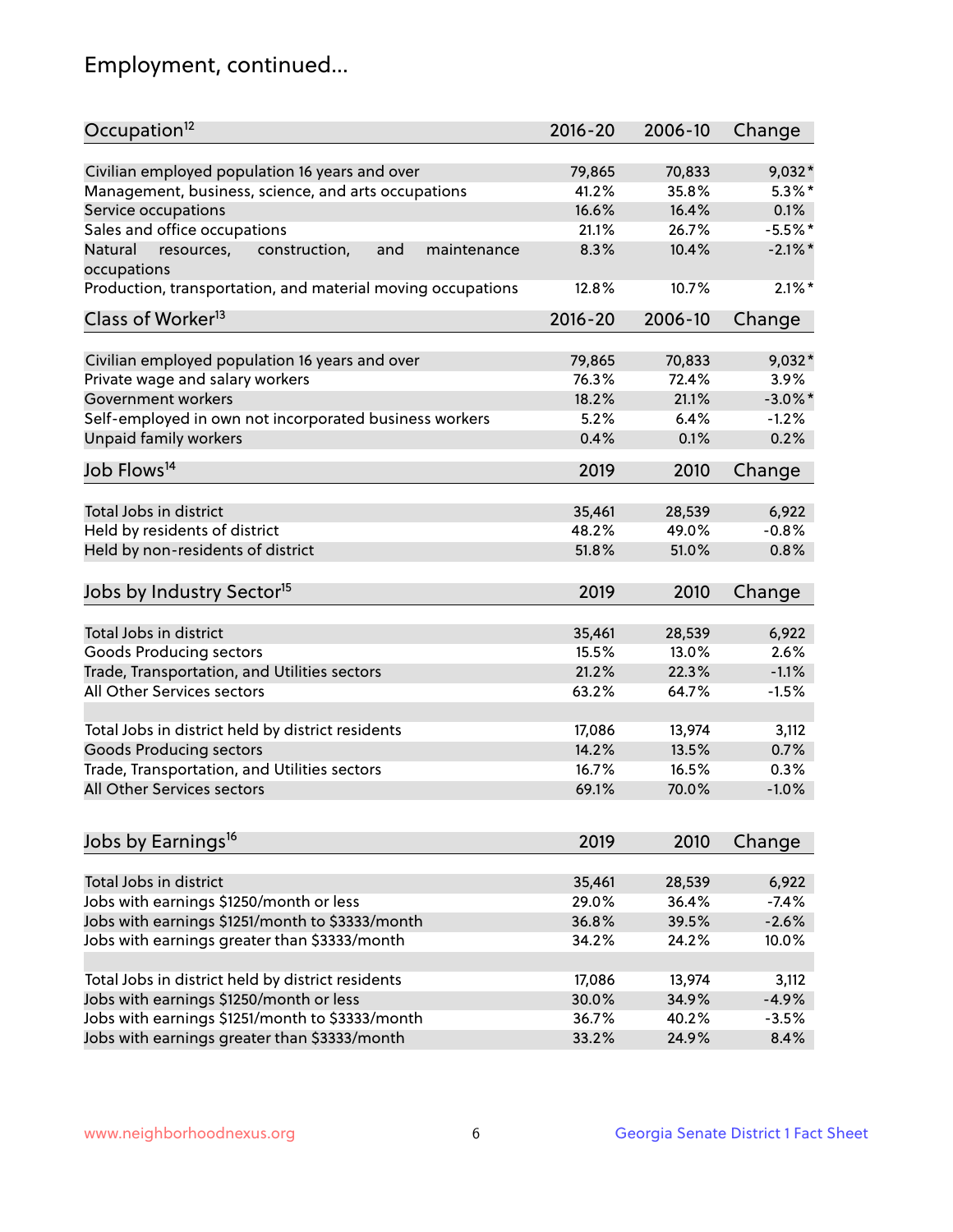## Employment, continued...

| Occupation <sup>12</sup>                                     | $2016 - 20$ | 2006-10 | Change     |
|--------------------------------------------------------------|-------------|---------|------------|
| Civilian employed population 16 years and over               | 79,865      | 70,833  | $9,032*$   |
| Management, business, science, and arts occupations          | 41.2%       | 35.8%   | $5.3\%$ *  |
| Service occupations                                          | 16.6%       | 16.4%   | 0.1%       |
| Sales and office occupations                                 | 21.1%       | 26.7%   | $-5.5%$ *  |
| and<br>maintenance<br>Natural<br>resources,<br>construction, | 8.3%        | 10.4%   | $-2.1\%$ * |
| occupations                                                  |             |         |            |
| Production, transportation, and material moving occupations  | 12.8%       | 10.7%   | $2.1\%$ *  |
| Class of Worker <sup>13</sup>                                | $2016 - 20$ | 2006-10 | Change     |
|                                                              |             |         |            |
| Civilian employed population 16 years and over               | 79,865      | 70,833  | 9,032*     |
| Private wage and salary workers                              | 76.3%       | 72.4%   | 3.9%       |
| Government workers                                           | 18.2%       | 21.1%   | $-3.0\%$ * |
| Self-employed in own not incorporated business workers       | 5.2%        | 6.4%    | $-1.2%$    |
| Unpaid family workers                                        | 0.4%        | 0.1%    | 0.2%       |
| Job Flows <sup>14</sup>                                      | 2019        | 2010    | Change     |
|                                                              |             |         |            |
| Total Jobs in district                                       | 35,461      | 28,539  | 6,922      |
| Held by residents of district                                | 48.2%       | 49.0%   | $-0.8%$    |
| Held by non-residents of district                            | 51.8%       | 51.0%   | 0.8%       |
| Jobs by Industry Sector <sup>15</sup>                        | 2019        | 2010    | Change     |
|                                                              |             |         |            |
| Total Jobs in district                                       | 35,461      | 28,539  | 6,922      |
| Goods Producing sectors                                      | 15.5%       | 13.0%   | 2.6%       |
| Trade, Transportation, and Utilities sectors                 | 21.2%       | 22.3%   | $-1.1%$    |
| All Other Services sectors                                   | 63.2%       | 64.7%   | $-1.5%$    |
| Total Jobs in district held by district residents            | 17,086      | 13,974  | 3,112      |
| <b>Goods Producing sectors</b>                               | 14.2%       | 13.5%   | 0.7%       |
| Trade, Transportation, and Utilities sectors                 | 16.7%       | 16.5%   | 0.3%       |
| All Other Services sectors                                   | 69.1%       | 70.0%   | $-1.0%$    |
|                                                              |             |         |            |
| Jobs by Earnings <sup>16</sup>                               | 2019        | 2010    | Change     |
|                                                              |             |         |            |
| Total Jobs in district                                       | 35,461      | 28,539  | 6,922      |
| Jobs with earnings \$1250/month or less                      | 29.0%       | 36.4%   | $-7.4%$    |
| Jobs with earnings \$1251/month to \$3333/month              | 36.8%       | 39.5%   | $-2.6%$    |
| Jobs with earnings greater than \$3333/month                 | 34.2%       | 24.2%   | 10.0%      |
| Total Jobs in district held by district residents            | 17,086      | 13,974  | 3,112      |
| Jobs with earnings \$1250/month or less                      | 30.0%       | 34.9%   | $-4.9%$    |
| Jobs with earnings \$1251/month to \$3333/month              | 36.7%       | 40.2%   | $-3.5%$    |
| Jobs with earnings greater than \$3333/month                 | 33.2%       | 24.9%   | 8.4%       |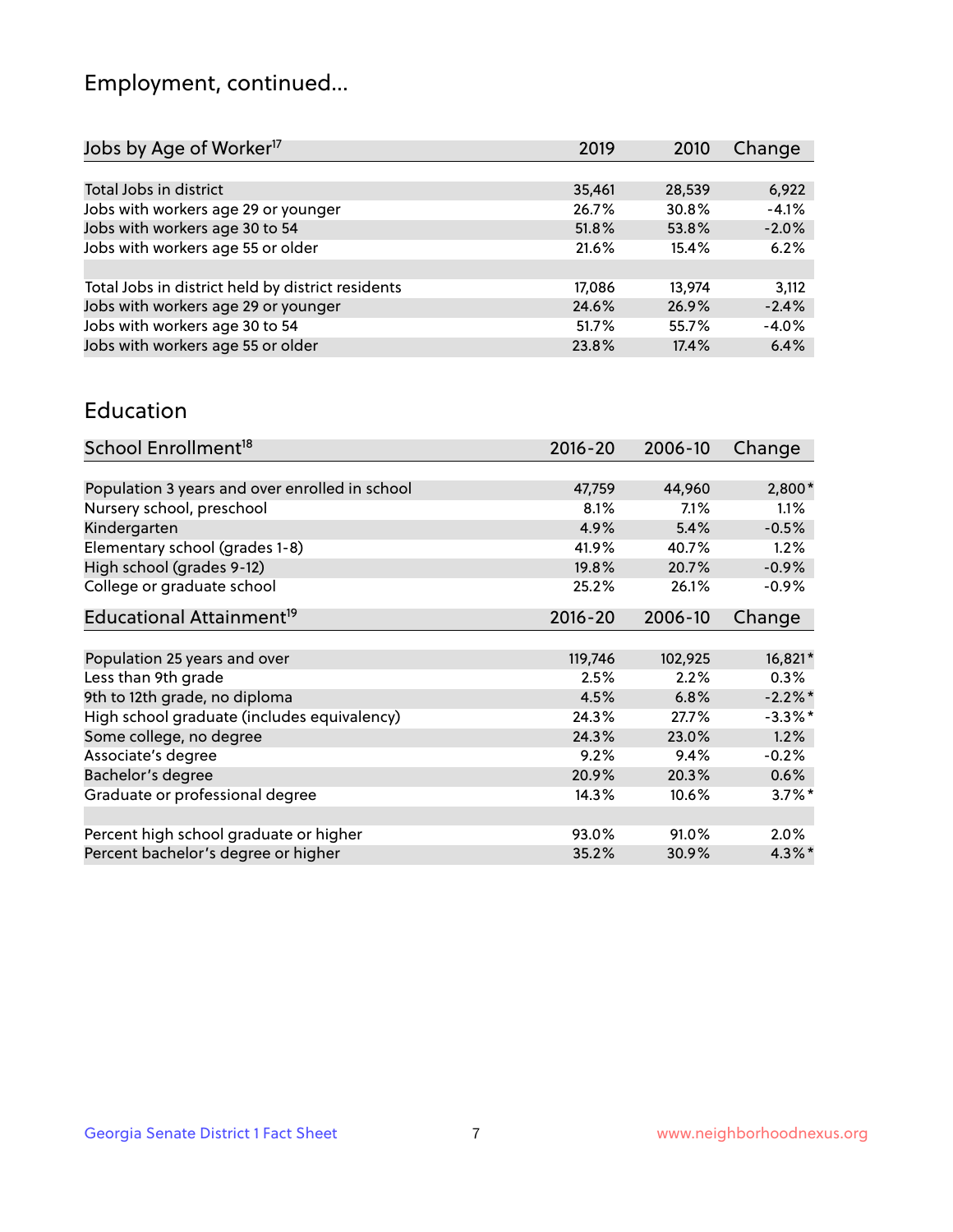## Employment, continued...

| Change  |
|---------|
|         |
| 6,922   |
| $-4.1%$ |
| $-2.0%$ |
| 6.2%    |
|         |
| 3,112   |
| $-2.4%$ |
| $-4.0%$ |
| 6.4%    |
|         |

#### Education

| School Enrollment <sup>18</sup>                | $2016 - 20$ | 2006-10 | Change               |
|------------------------------------------------|-------------|---------|----------------------|
|                                                |             |         |                      |
| Population 3 years and over enrolled in school | 47,759      | 44,960  | 2,800*               |
| Nursery school, preschool                      | 8.1%        | 7.1%    | $1.1\%$              |
| Kindergarten                                   | 4.9%        | 5.4%    | $-0.5%$              |
| Elementary school (grades 1-8)                 | 41.9%       | 40.7%   | 1.2%                 |
| High school (grades 9-12)                      | 19.8%       | 20.7%   | $-0.9%$              |
| College or graduate school                     | 25.2%       | 26.1%   | $-0.9%$              |
| Educational Attainment <sup>19</sup>           | $2016 - 20$ | 2006-10 | Change               |
|                                                |             |         |                      |
| Population 25 years and over                   | 119,746     | 102,925 | 16,821*              |
| Less than 9th grade                            | 2.5%        | 2.2%    | $0.3\%$              |
| 9th to 12th grade, no diploma                  | 4.5%        | 6.8%    | $-2.2%$ *            |
| High school graduate (includes equivalency)    | 24.3%       | 27.7%   | $-3.3\%$ *           |
| Some college, no degree                        | 24.3%       | 23.0%   | 1.2%                 |
| Associate's degree                             | 9.2%        | 9.4%    | $-0.2%$              |
| Bachelor's degree                              | 20.9%       | 20.3%   | 0.6%                 |
| Graduate or professional degree                | 14.3%       | 10.6%   | $3.7\%$ <sup>*</sup> |
|                                                |             |         |                      |
| Percent high school graduate or higher         | 93.0%       | 91.0%   | $2.0\%$              |
| Percent bachelor's degree or higher            | 35.2%       | 30.9%   | 4.3%*                |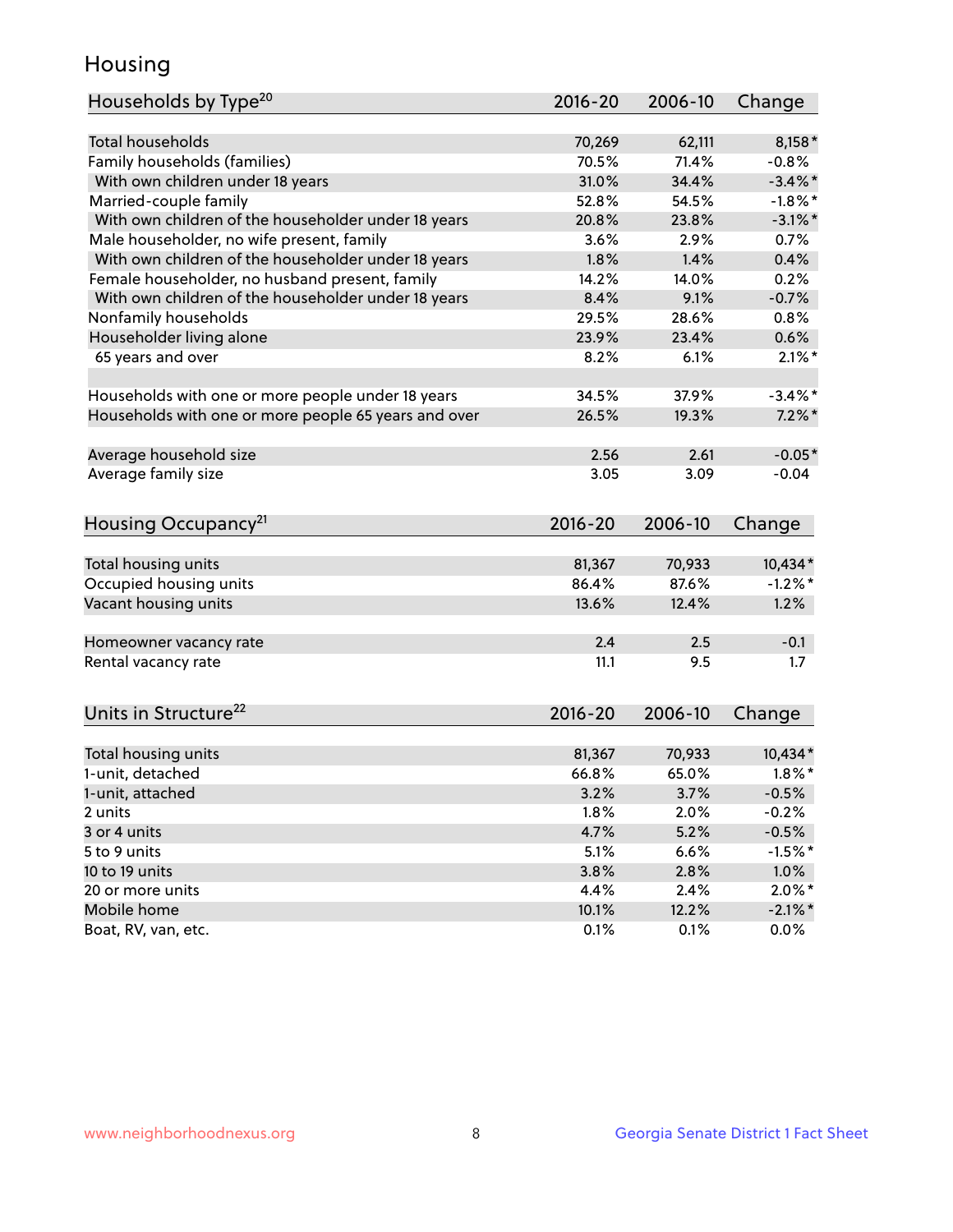## Housing

| Households by Type <sup>20</sup>                     | 2016-20         | 2006-10         | Change                |
|------------------------------------------------------|-----------------|-----------------|-----------------------|
|                                                      |                 |                 |                       |
| <b>Total households</b>                              | 70,269          | 62,111          | $8,158*$              |
| Family households (families)                         | 70.5%           | 71.4%           | $-0.8%$               |
| With own children under 18 years                     | 31.0%           | 34.4%           | $-3.4\%$ *            |
| Married-couple family                                | 52.8%           | 54.5%           | $-1.8\%$ *            |
| With own children of the householder under 18 years  | 20.8%           | 23.8%           | $-3.1\%$ *            |
| Male householder, no wife present, family            | 3.6%            | 2.9%            | 0.7%                  |
| With own children of the householder under 18 years  | 1.8%            | 1.4%            | 0.4%                  |
| Female householder, no husband present, family       | 14.2%           | 14.0%           | 0.2%                  |
| With own children of the householder under 18 years  | 8.4%            | 9.1%            | $-0.7%$               |
| Nonfamily households                                 | 29.5%           | 28.6%           | 0.8%                  |
| Householder living alone                             | 23.9%           | 23.4%           | 0.6%                  |
| 65 years and over                                    | 8.2%            | 6.1%            | $2.1\%$ *             |
|                                                      |                 |                 |                       |
| Households with one or more people under 18 years    | 34.5%           | 37.9%           | $-3.4\%$ *            |
| Households with one or more people 65 years and over | 26.5%           | 19.3%           | $7.2\%$ *             |
|                                                      |                 |                 |                       |
| Average household size                               | 2.56            | 2.61            | $-0.05*$              |
| Average family size                                  | 3.05            | 3.09            | $-0.04$               |
|                                                      |                 |                 |                       |
| Housing Occupancy <sup>21</sup>                      | 2016-20         | 2006-10         | Change                |
|                                                      |                 |                 |                       |
| Total housing units                                  | 81,367<br>86.4% | 70,933<br>87.6% | 10,434*<br>$-1.2\%$ * |
| Occupied housing units                               | 13.6%           | 12.4%           |                       |
| Vacant housing units                                 |                 |                 | 1.2%                  |
| Homeowner vacancy rate                               | 2.4             | 2.5             | $-0.1$                |
| Rental vacancy rate                                  | 11.1            | 9.5             | 1.7                   |
|                                                      |                 |                 |                       |
| Units in Structure <sup>22</sup>                     | 2016-20         | 2006-10         | Change                |
|                                                      |                 |                 |                       |
| Total housing units                                  | 81,367          | 70,933          | 10,434*               |
| 1-unit, detached                                     | 66.8%           | 65.0%           | $1.8\%$ *             |
| 1-unit, attached                                     | 3.2%            | 3.7%            | $-0.5%$               |
| 2 units                                              | 1.8%            | 2.0%            | $-0.2%$               |
| 3 or 4 units                                         | 4.7%            | 5.2%            | $-0.5%$               |
| 5 to 9 units                                         | 5.1%            | 6.6%            | $-1.5%$ *             |
| 10 to 19 units                                       | 3.8%            | 2.8%            | 1.0%                  |
| 20 or more units                                     | 4.4%            | 2.4%            | $2.0\%$ *             |
| Mobile home                                          | 10.1%           | 12.2%           | $-2.1\%$ *            |
| Boat, RV, van, etc.                                  | 0.1%            | 0.1%            | 0.0%                  |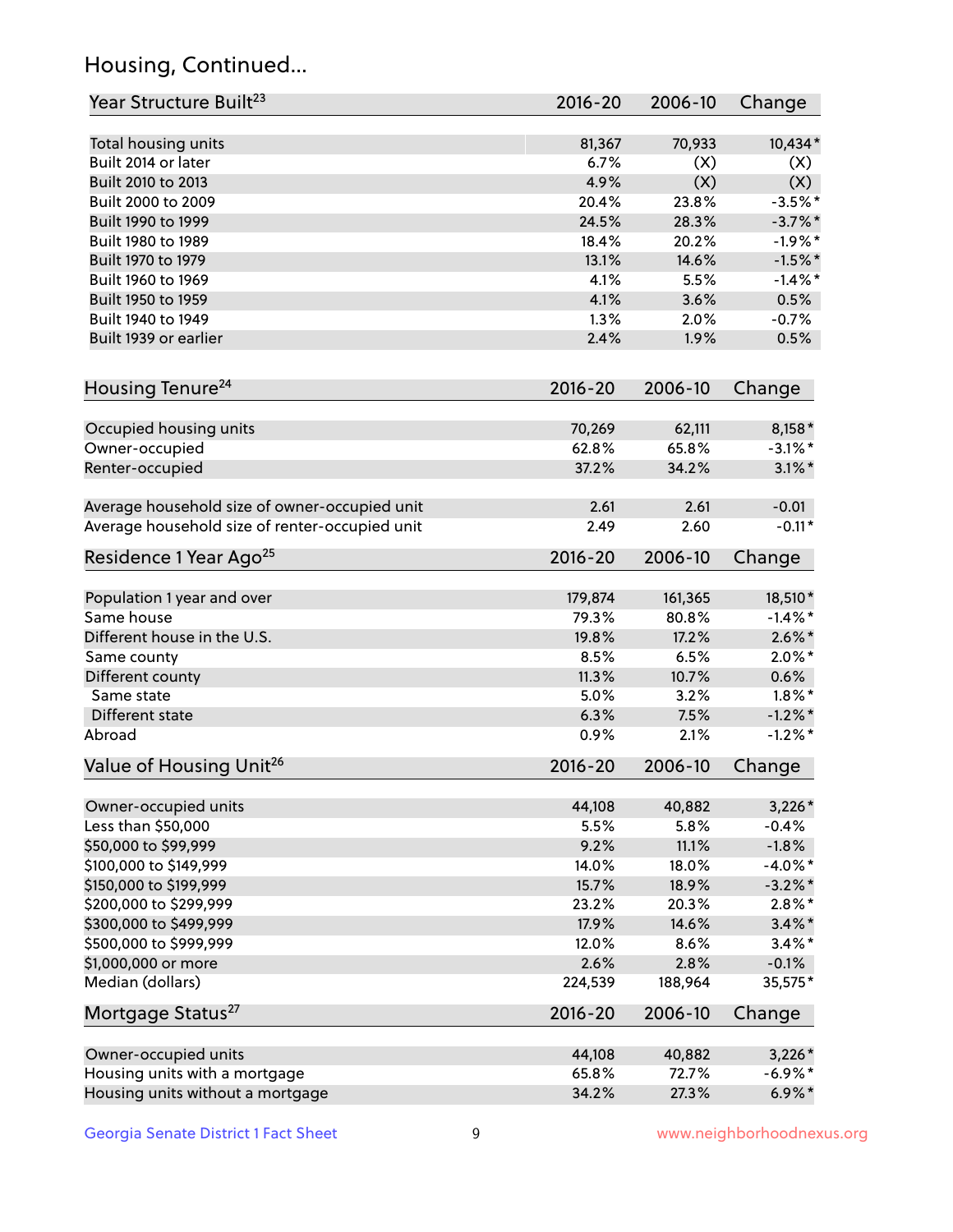## Housing, Continued...

| Year Structure Built <sup>23</sup>             | 2016-20     | 2006-10 | Change     |
|------------------------------------------------|-------------|---------|------------|
| Total housing units                            | 81,367      | 70,933  | 10,434*    |
| Built 2014 or later                            | 6.7%        | (X)     | (X)        |
| Built 2010 to 2013                             | 4.9%        | (X)     | (X)        |
| Built 2000 to 2009                             | 20.4%       | 23.8%   | $-3.5%$ *  |
| Built 1990 to 1999                             | 24.5%       | 28.3%   | $-3.7\%$ * |
| Built 1980 to 1989                             | 18.4%       | 20.2%   | $-1.9%$ *  |
| Built 1970 to 1979                             | 13.1%       | 14.6%   | $-1.5%$ *  |
| Built 1960 to 1969                             | 4.1%        | 5.5%    | $-1.4%$    |
| Built 1950 to 1959                             | 4.1%        | 3.6%    | 0.5%       |
| Built 1940 to 1949                             | 1.3%        | 2.0%    | $-0.7%$    |
| Built 1939 or earlier                          | 2.4%        | 1.9%    | 0.5%       |
| Housing Tenure <sup>24</sup>                   | $2016 - 20$ | 2006-10 | Change     |
| Occupied housing units                         | 70,269      | 62,111  | 8,158*     |
| Owner-occupied                                 | 62.8%       | 65.8%   | $-3.1\%$ * |
| Renter-occupied                                | 37.2%       | 34.2%   | $3.1\%$ *  |
| Average household size of owner-occupied unit  | 2.61        | 2.61    | $-0.01$    |
| Average household size of renter-occupied unit | 2.49        | 2.60    | $-0.11*$   |
| Residence 1 Year Ago <sup>25</sup>             | $2016 - 20$ | 2006-10 | Change     |
| Population 1 year and over                     | 179,874     | 161,365 | 18,510*    |
| Same house                                     | 79.3%       | 80.8%   | $-1.4\%$ * |
| Different house in the U.S.                    | 19.8%       | 17.2%   | $2.6\%$ *  |
| Same county                                    | 8.5%        | 6.5%    | $2.0\%$ *  |
| Different county                               | 11.3%       | 10.7%   | 0.6%       |
| Same state                                     | 5.0%        | 3.2%    | $1.8\%$ *  |
| Different state                                | 6.3%        | 7.5%    | $-1.2\%$ * |
| Abroad                                         | 0.9%        | 2.1%    | $-1.2\%$ * |
| Value of Housing Unit <sup>26</sup>            | $2016 - 20$ | 2006-10 | Change     |
| Owner-occupied units                           | 44,108      | 40,882  | $3,226*$   |
| Less than \$50,000                             | 5.5%        | 5.8%    | $-0.4%$    |
| \$50,000 to \$99,999                           | 9.2%        | 11.1%   | $-1.8%$    |
| \$100,000 to \$149,999                         | 14.0%       | 18.0%   | $-4.0\%$ * |
| \$150,000 to \$199,999                         | 15.7%       | 18.9%   | $-3.2\%$ * |
| \$200,000 to \$299,999                         | 23.2%       | 20.3%   | $2.8\%$ *  |
| \$300,000 to \$499,999                         | 17.9%       | 14.6%   | $3.4\%$ *  |
| \$500,000 to \$999,999                         | 12.0%       | 8.6%    | $3.4\%$ *  |
| \$1,000,000 or more                            | 2.6%        | 2.8%    | $-0.1%$    |
| Median (dollars)                               | 224,539     | 188,964 | 35,575*    |
| Mortgage Status <sup>27</sup>                  | $2016 - 20$ | 2006-10 | Change     |
| Owner-occupied units                           | 44,108      | 40,882  | $3,226*$   |
| Housing units with a mortgage                  | 65.8%       | 72.7%   | $-6.9\%$ * |
| Housing units without a mortgage               | 34.2%       | 27.3%   | $6.9\%*$   |
|                                                |             |         |            |

Georgia Senate District 1 Fact Sheet 9 9 Www.neighborhoodnexus.org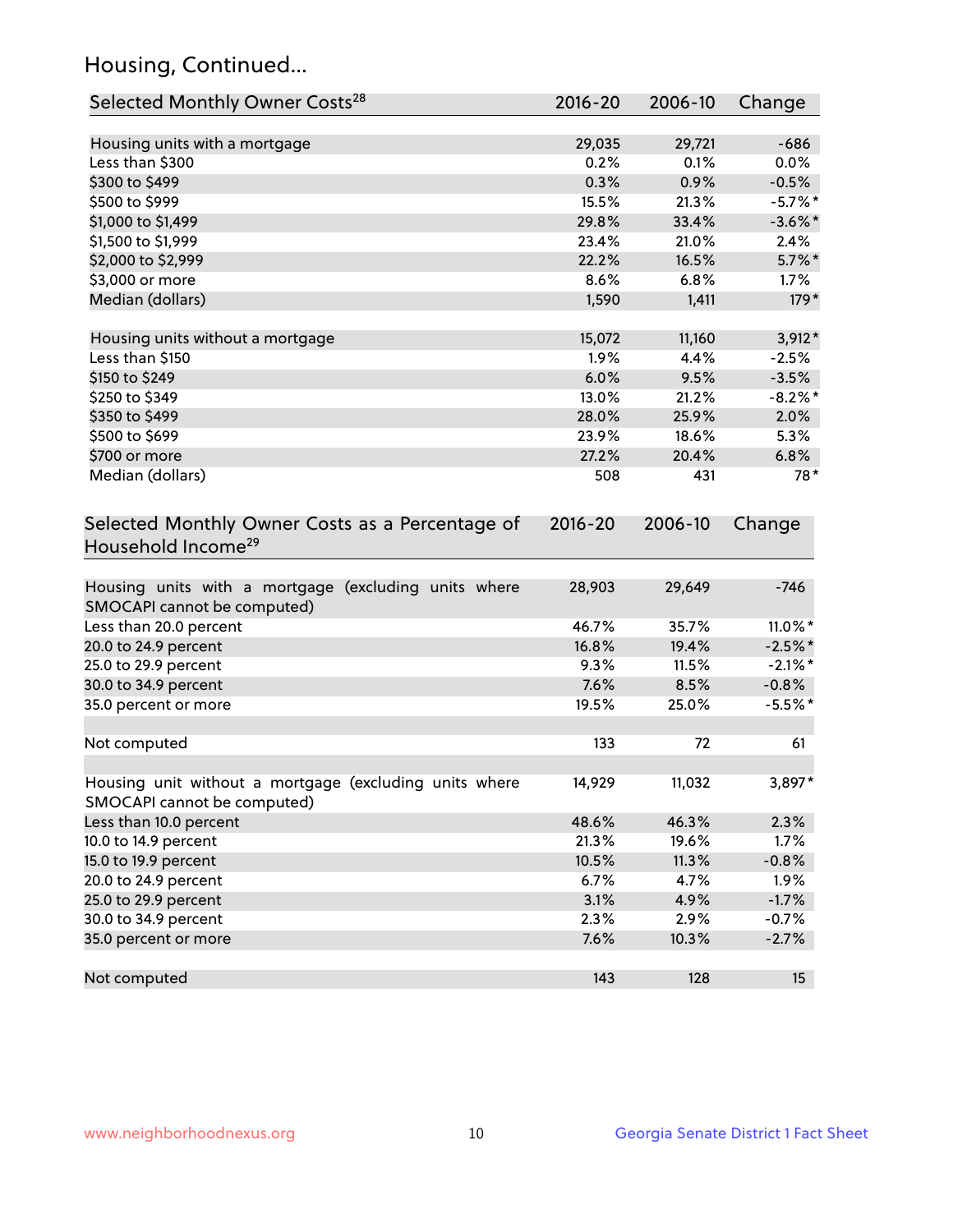## Housing, Continued...

| Selected Monthly Owner Costs <sup>28</sup>                                            | 2016-20 | 2006-10 | Change     |
|---------------------------------------------------------------------------------------|---------|---------|------------|
| Housing units with a mortgage                                                         | 29,035  | 29,721  | $-686$     |
| Less than \$300                                                                       | 0.2%    | 0.1%    | 0.0%       |
| \$300 to \$499                                                                        | 0.3%    | 0.9%    | $-0.5%$    |
| \$500 to \$999                                                                        | 15.5%   | 21.3%   | $-5.7\%$ * |
| \$1,000 to \$1,499                                                                    | 29.8%   | 33.4%   | $-3.6\%$ * |
| \$1,500 to \$1,999                                                                    | 23.4%   | 21.0%   | 2.4%       |
| \$2,000 to \$2,999                                                                    | 22.2%   | 16.5%   | $5.7\%$ *  |
| \$3,000 or more                                                                       | 8.6%    | 6.8%    | 1.7%       |
| Median (dollars)                                                                      | 1,590   | 1,411   | $179*$     |
| Housing units without a mortgage                                                      | 15,072  | 11,160  | $3,912*$   |
| Less than \$150                                                                       | 1.9%    | 4.4%    | $-2.5%$    |
| \$150 to \$249                                                                        | 6.0%    | 9.5%    | $-3.5%$    |
| \$250 to \$349                                                                        | 13.0%   | 21.2%   | $-8.2\%$ * |
| \$350 to \$499                                                                        | 28.0%   | 25.9%   | 2.0%       |
| \$500 to \$699                                                                        | 23.9%   | 18.6%   | 5.3%       |
| \$700 or more                                                                         | 27.2%   | 20.4%   | 6.8%       |
| Median (dollars)                                                                      | 508     | 431     | $78*$      |
| Household Income <sup>29</sup>                                                        |         |         |            |
| Housing units with a mortgage (excluding units where<br>SMOCAPI cannot be computed)   | 28,903  | 29,649  | $-746$     |
| Less than 20.0 percent                                                                | 46.7%   | 35.7%   | $11.0\%$ * |
| 20.0 to 24.9 percent                                                                  | 16.8%   | 19.4%   | $-2.5%$ *  |
| 25.0 to 29.9 percent                                                                  | 9.3%    | 11.5%   | $-2.1\%$ * |
| 30.0 to 34.9 percent                                                                  | 7.6%    | 8.5%    | $-0.8%$    |
| 35.0 percent or more                                                                  | 19.5%   | 25.0%   | $-5.5%$ *  |
| Not computed                                                                          | 133     | 72      | 61         |
| Housing unit without a mortgage (excluding units where<br>SMOCAPI cannot be computed) | 14,929  | 11,032  | 3,897*     |
| Less than 10.0 percent                                                                | 48.6%   | 46.3%   | 2.3%       |
| 10.0 to 14.9 percent                                                                  | 21.3%   | 19.6%   | 1.7%       |
| 15.0 to 19.9 percent                                                                  | 10.5%   | 11.3%   | $-0.8%$    |
| 20.0 to 24.9 percent                                                                  | 6.7%    | 4.7%    | 1.9%       |
| 25.0 to 29.9 percent                                                                  | 3.1%    | 4.9%    | $-1.7%$    |
| 30.0 to 34.9 percent                                                                  | 2.3%    | 2.9%    | $-0.7%$    |
| 35.0 percent or more                                                                  | 7.6%    | 10.3%   | $-2.7%$    |
| Not computed                                                                          | 143     | 128     | 15         |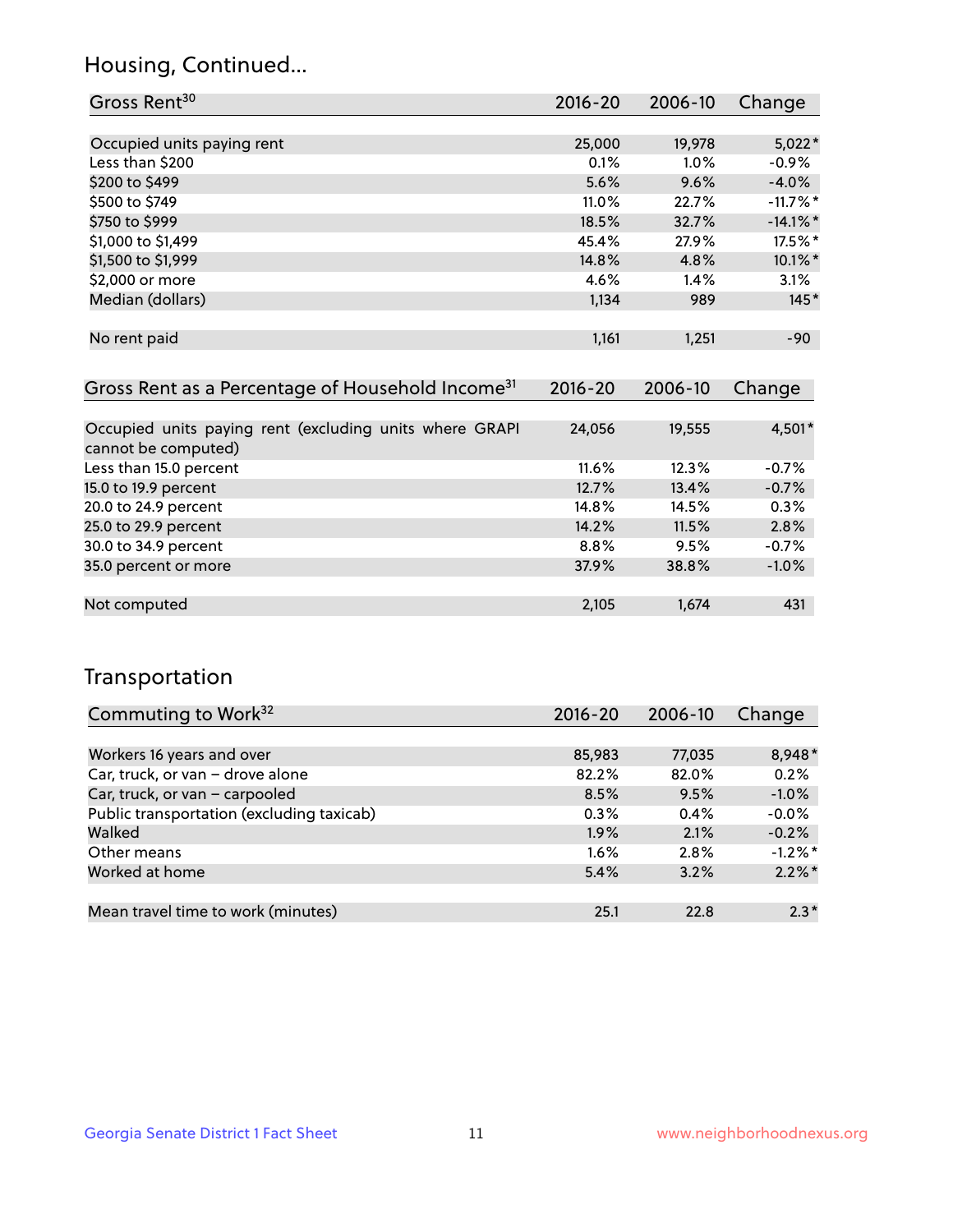## Housing, Continued...

| Gross Rent <sup>30</sup>   | 2016-20 | 2006-10 | Change      |
|----------------------------|---------|---------|-------------|
|                            |         |         |             |
| Occupied units paying rent | 25,000  | 19,978  | $5,022*$    |
| Less than \$200            | 0.1%    | 1.0%    | $-0.9%$     |
| \$200 to \$499             | 5.6%    | 9.6%    | $-4.0%$     |
| \$500 to \$749             | 11.0%   | 22.7%   | $-11.7\%$ * |
| \$750 to \$999             | 18.5%   | 32.7%   | $-14.1\%$ * |
| \$1,000 to \$1,499         | 45.4%   | 27.9%   | 17.5%*      |
| \$1,500 to \$1,999         | 14.8%   | 4.8%    | 10.1%*      |
| \$2,000 or more            | 4.6%    | 1.4%    | 3.1%        |
| Median (dollars)           | 1,134   | 989     | $145*$      |
|                            |         |         |             |
| No rent paid               | 1,161   | 1,251   | $-90$       |
|                            |         |         |             |

| Gross Rent as a Percentage of Household Income <sup>31</sup>                   | $2016 - 20$ | 2006-10 | Change  |
|--------------------------------------------------------------------------------|-------------|---------|---------|
|                                                                                |             |         |         |
| Occupied units paying rent (excluding units where GRAPI<br>cannot be computed) | 24,056      | 19,555  | 4,501*  |
| Less than 15.0 percent                                                         | 11.6%       | 12.3%   | $-0.7%$ |
| 15.0 to 19.9 percent                                                           | 12.7%       | 13.4%   | $-0.7%$ |
| 20.0 to 24.9 percent                                                           | 14.8%       | 14.5%   | 0.3%    |
| 25.0 to 29.9 percent                                                           | 14.2%       | 11.5%   | 2.8%    |
| 30.0 to 34.9 percent                                                           | 8.8%        | 9.5%    | $-0.7%$ |
| 35.0 percent or more                                                           | 37.9%       | 38.8%   | $-1.0%$ |
|                                                                                |             |         |         |
| Not computed                                                                   | 2,105       | 1,674   | 431     |

## Transportation

| Commuting to Work <sup>32</sup>           | 2016-20 | 2006-10 | Change     |
|-------------------------------------------|---------|---------|------------|
|                                           |         |         |            |
| Workers 16 years and over                 | 85,983  | 77,035  | 8,948*     |
| Car, truck, or van - drove alone          | 82.2%   | 82.0%   | 0.2%       |
| Car, truck, or van - carpooled            | 8.5%    | 9.5%    | $-1.0%$    |
| Public transportation (excluding taxicab) | 0.3%    | 0.4%    | $-0.0%$    |
| Walked                                    | 1.9%    | 2.1%    | $-0.2%$    |
| Other means                               | $1.6\%$ | 2.8%    | $-1.2\%$ * |
| Worked at home                            | 5.4%    | 3.2%    | $2.2\%$ *  |
|                                           |         |         |            |
| Mean travel time to work (minutes)        | 25.1    | 22.8    | $2.3*$     |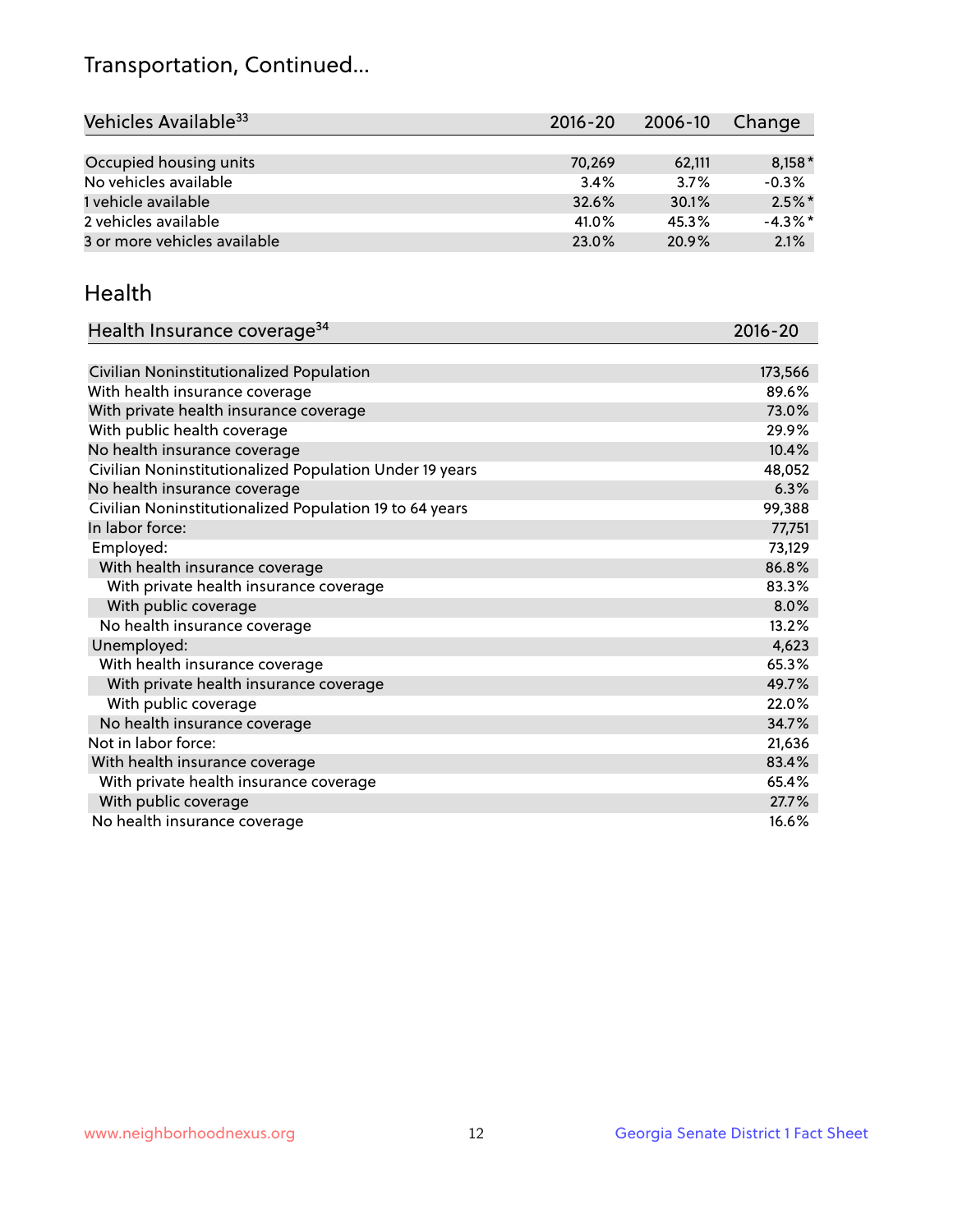## Transportation, Continued...

| Vehicles Available <sup>33</sup> | 2016-20 | 2006-10 | Change    |
|----------------------------------|---------|---------|-----------|
|                                  |         |         |           |
| Occupied housing units           | 70,269  | 62,111  | $8,158*$  |
| No vehicles available            | 3.4%    | 3.7%    | $-0.3%$   |
| 1 vehicle available              | 32.6%   | 30.1%   | $2.5\%$ * |
| 2 vehicles available             | 41.0%   | 45.3%   | $-4.3%$ * |
| 3 or more vehicles available     | 23.0%   | 20.9%   | 2.1%      |

#### Health

| Health Insurance coverage <sup>34</sup>                 | 2016-20 |
|---------------------------------------------------------|---------|
|                                                         |         |
| Civilian Noninstitutionalized Population                | 173,566 |
| With health insurance coverage                          | 89.6%   |
| With private health insurance coverage                  | 73.0%   |
| With public health coverage                             | 29.9%   |
| No health insurance coverage                            | 10.4%   |
| Civilian Noninstitutionalized Population Under 19 years | 48,052  |
| No health insurance coverage                            | 6.3%    |
| Civilian Noninstitutionalized Population 19 to 64 years | 99,388  |
| In labor force:                                         | 77,751  |
| Employed:                                               | 73,129  |
| With health insurance coverage                          | 86.8%   |
| With private health insurance coverage                  | 83.3%   |
| With public coverage                                    | 8.0%    |
| No health insurance coverage                            | 13.2%   |
| Unemployed:                                             | 4,623   |
| With health insurance coverage                          | 65.3%   |
| With private health insurance coverage                  | 49.7%   |
| With public coverage                                    | 22.0%   |
| No health insurance coverage                            | 34.7%   |
| Not in labor force:                                     | 21,636  |
| With health insurance coverage                          | 83.4%   |
| With private health insurance coverage                  | 65.4%   |
| With public coverage                                    | 27.7%   |
| No health insurance coverage                            | 16.6%   |